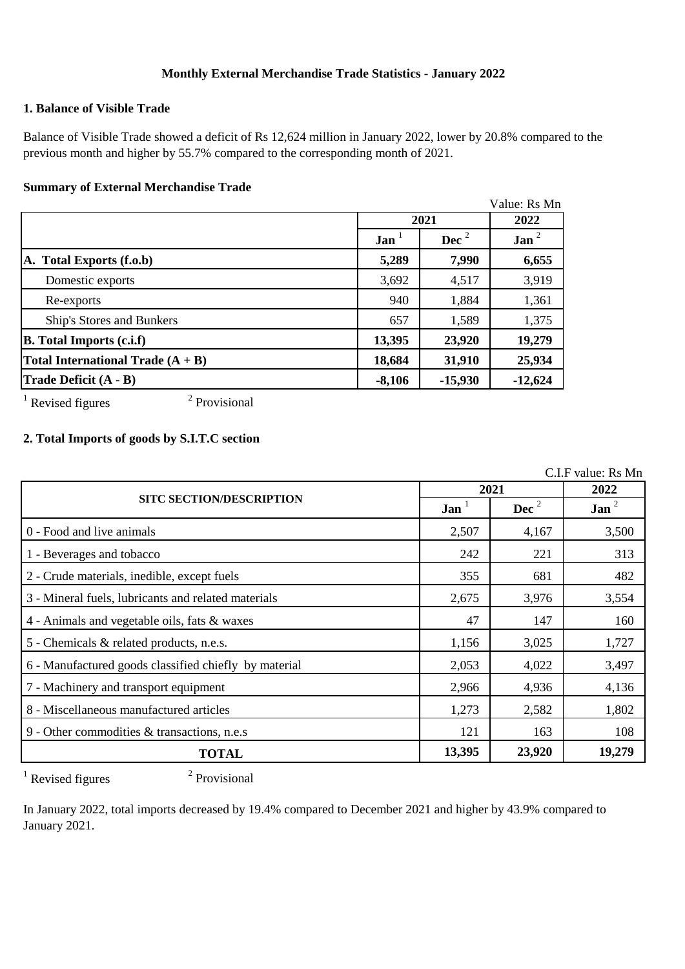# **Monthly External Merchandise Trade Statistics - January 2022**

# **1. Balance of Visible Trade**

Balance of Visible Trade showed a deficit of Rs 12,624 million in January 2022, lower by 20.8% compared to the previous month and higher by 55.7% compared to the corresponding month of 2021.

#### **Summary of External Merchandise Trade**

|                                     |                  |                | Value: Rs Mn     |
|-------------------------------------|------------------|----------------|------------------|
|                                     |                  | 2021           |                  |
|                                     | Jan <sup>1</sup> | $\text{Dec}^2$ | Jan <sup>2</sup> |
| A. Total Exports (f.o.b)            | 5,289            | 7,990          | 6,655            |
| Domestic exports                    | 3,692            | 4,517          | 3,919            |
| Re-exports                          | 940              | 1,884          | 1,361            |
| Ship's Stores and Bunkers           | 657              | 1,589          | 1,375            |
| <b>B.</b> Total Imports (c.i.f)     | 13,395           | 23,920         | 19,279           |
| Total International Trade $(A + B)$ | 18,684           | 31,910         | 25,934           |
| Trade Deficit (A - B)               | $-8,106$         | $-15,930$      | $-12,624$        |

 $1$  Revised figures

2 Provisional

# **2. Total Imports of goods by S.I.T.C section**

C.I.F value: Rs Mn

|                                                       | 2021             |          | 2022     |
|-------------------------------------------------------|------------------|----------|----------|
| <b>SITC SECTION/DESCRIPTION</b>                       | Jan <sup>1</sup> | Dec $^2$ | Jan $^2$ |
| 0 - Food and live animals                             | 2,507            | 4,167    | 3,500    |
| 1 - Beverages and tobacco                             | 242              | 221      | 313      |
| 2 - Crude materials, inedible, except fuels           | 355              | 681      | 482      |
| 3 - Mineral fuels, lubricants and related materials   | 2,675            | 3,976    | 3,554    |
| 4 - Animals and vegetable oils, fats & waxes          | 47               | 147      | 160      |
| 5 - Chemicals & related products, n.e.s.              | 1,156            | 3,025    | 1,727    |
| 6 - Manufactured goods classified chiefly by material | 2,053            | 4,022    | 3,497    |
| 7 - Machinery and transport equipment                 | 2,966            | 4,936    | 4,136    |
| 8 - Miscellaneous manufactured articles               | 1,273            | 2,582    | 1,802    |
| 9 - Other commodities & transactions, n.e.s           | 121              | 163      | 108      |
| <b>TOTAL</b>                                          |                  | 23,920   | 19,279   |

 $1$  Revised figures

2 Provisional

In January 2022, total imports decreased by 19.4% compared to December 2021 and higher by 43.9% compared to January 2021.